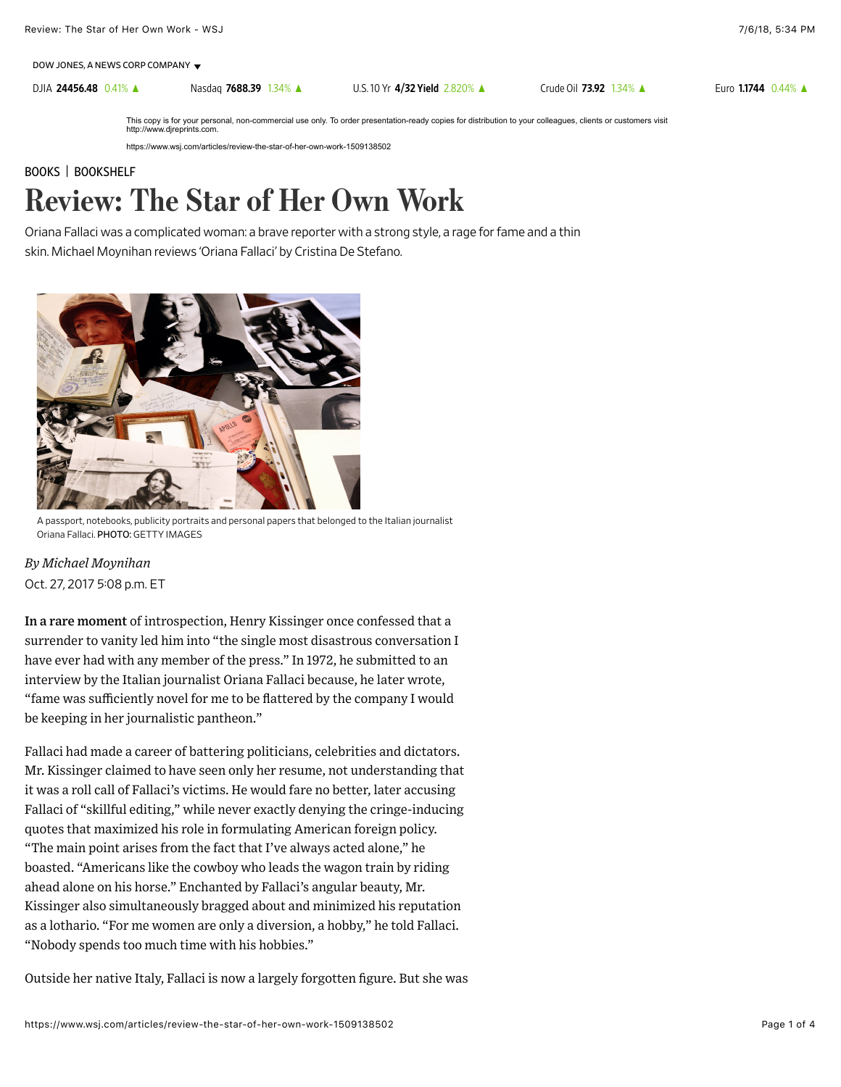DJIA [24456.48](https://quotes.wsj.com/index/DJIA) 0.41% ▲ Nasdaq [7688.39](https://quotes.wsj.com/index/COMP) 1.34% ▲ [U.S. 10 Yr](https://quotes.wsj.com/bond/BX/TMUBMUSD10Y) 4/32 Yield 2.820% ▲ [Crude Oil](https://quotes.wsj.com/futures/Crude%20Oil%20-%20Electronic) 73.92 1.34% ▲ Euro [1.1744](https://quotes.wsj.com/fx/EURUSD) 0.44% ▲

This copy is for your personal, non-commercial use only. To order presentation-ready copies for distribution to your colleagues, clients or customers visit http://www.djreprints.com.

https://www.wsj.com/articles/review-the-star-of-her-own-work-1509138502

## [BOOKS](https://www.wsj.com/news/life-arts/books) | [BOOKSHELF](https://www.wsj.com/news/types/bookshelf) Review: The Star of Her Own Work

Oriana Fallaci was a complicated woman: a brave reporter with a strong style, a rage for fame and a thin skin. Michael Moynihan reviews 'Oriana Fallaci' by Cristina De Stefano.



A passport, notebooks, publicity portraits and personal papers that belonged to the Italian journalist Oriana Fallaci. PHOTO: GETTY IMAGES

Oct. 27, 2017 5:08 p.m. ET *By Michael Moynihan*

In a rare moment of introspection, Henry Kissinger once confessed that a surrender to vanity led him into "the single most disastrous conversation I have ever had with any member of the press." In 1972, he submitted to an interview by the Italian journalist Oriana Fallaci because, he later wrote, "fame was sufficiently novel for me to be flattered by the company I would be keeping in her journalistic pantheon."

Fallaci had made a career of battering politicians, celebrities and dictators. Mr. Kissinger claimed to have seen only her resume, not understanding that it was a roll call of Fallaci's victims. He would fare no better, later accusing Fallaci of "skillful editing," while never exactly denying the cringe-inducing quotes that maximized his role in formulating American foreign policy. "The main point arises from the fact that I've always acted alone," he boasted. "Americans like the cowboy who leads the wagon train by riding ahead alone on his horse." Enchanted by Fallaci's angular beauty, Mr. Kissinger also simultaneously bragged about and minimized his reputation as a lothario. "For me women are only a diversion, a hobby," he told Fallaci. "Nobody spends too much time with his hobbies."

Outside her native Italy, Fallaci is now a largely forgotten figure. But she was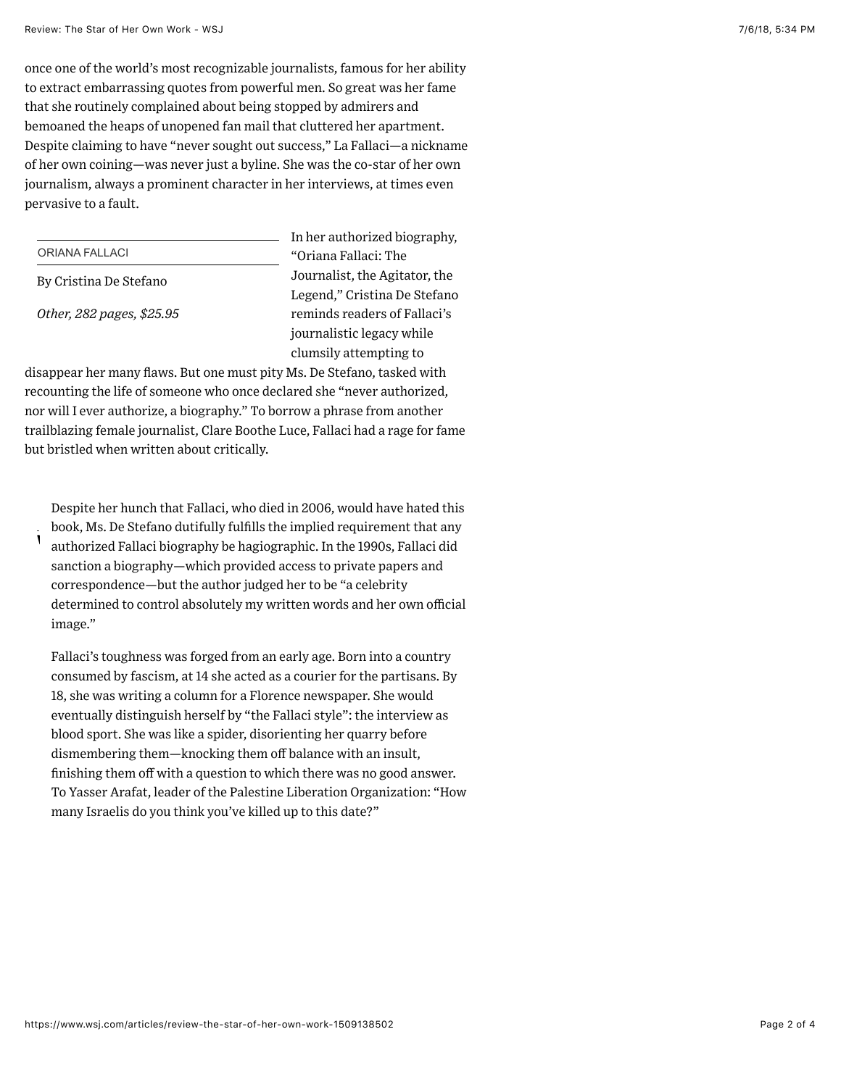once one of the world's most recognizable journalists, famous for her ability to extract embarrassing quotes from powerful men. So great was her fame that she routinely complained about being stopped by admirers and bemoaned the heaps of unopened fan mail that cluttered her apartment. Despite claiming to have "never sought out success," La Fallaci—a nickname of her own coining—was never just a byline. She was the co-star of her own journalism, always a prominent character in her interviews, at times even pervasive to a fault.

|                           | In her au |
|---------------------------|-----------|
| ORIANA FALLACI            | "Oriana l |
| By Cristina De Stefano    | Journalis |
|                           | Legend,"  |
| Other, 282 pages, \$25.95 | reminds   |
|                           | journalis |
|                           |           |

thorized biography, Fallaci: The st, the Agitator, the Cristina De Stefano readers of Fallaci's stic legacy while clumsily attempting to

disappear her many flaws. But one must pity Ms. De Stefano, tasked with recounting the life of someone who once declared she "never authorized, nor will I ever authorize, a biography." To borrow a phrase from another trailblazing female journalist, Clare Boothe Luce, Fallaci had a rage for fame but bristled when written about critically.

| Despite her hunch that Fallaci, who died in 2006, would have hated this<br>book, Ms. De Stefano dutifully fulfills the implied requirement that any<br>authorized Fallaci biography be hagiographic. In the 1990s, Fallaci did |  |
|--------------------------------------------------------------------------------------------------------------------------------------------------------------------------------------------------------------------------------|--|
| Sέ                                                                                                                                                                                                                             |  |
| cc                                                                                                                                                                                                                             |  |
| d٢                                                                                                                                                                                                                             |  |
| in                                                                                                                                                                                                                             |  |
| $F_{\epsilon}$                                                                                                                                                                                                                 |  |
| cc                                                                                                                                                                                                                             |  |
| $1\xi$                                                                                                                                                                                                                         |  |
| e                                                                                                                                                                                                                              |  |
| bl                                                                                                                                                                                                                             |  |
| di                                                                                                                                                                                                                             |  |
| fu                                                                                                                                                                                                                             |  |
| T١                                                                                                                                                                                                                             |  |
| m                                                                                                                                                                                                                              |  |
|                                                                                                                                                                                                                                |  |

## Review: The Most Elegant Tinkerer

Trained as an engineer, Alexander Calder introduced motion to the ancient art of sculpture. Henry Petroski reviews "Calder: The Conquest of Time" by Jed Perl.

## CLICK TO READ STORY

Review: A Wonder Boy on the Wrong Side of History

Herbert Hoover was a prodigy of ability and insecurity, so ambition, ruthlessness and charity. Edward Kosner revie by Kenneth Whyte.

## CLICK TO READ STORY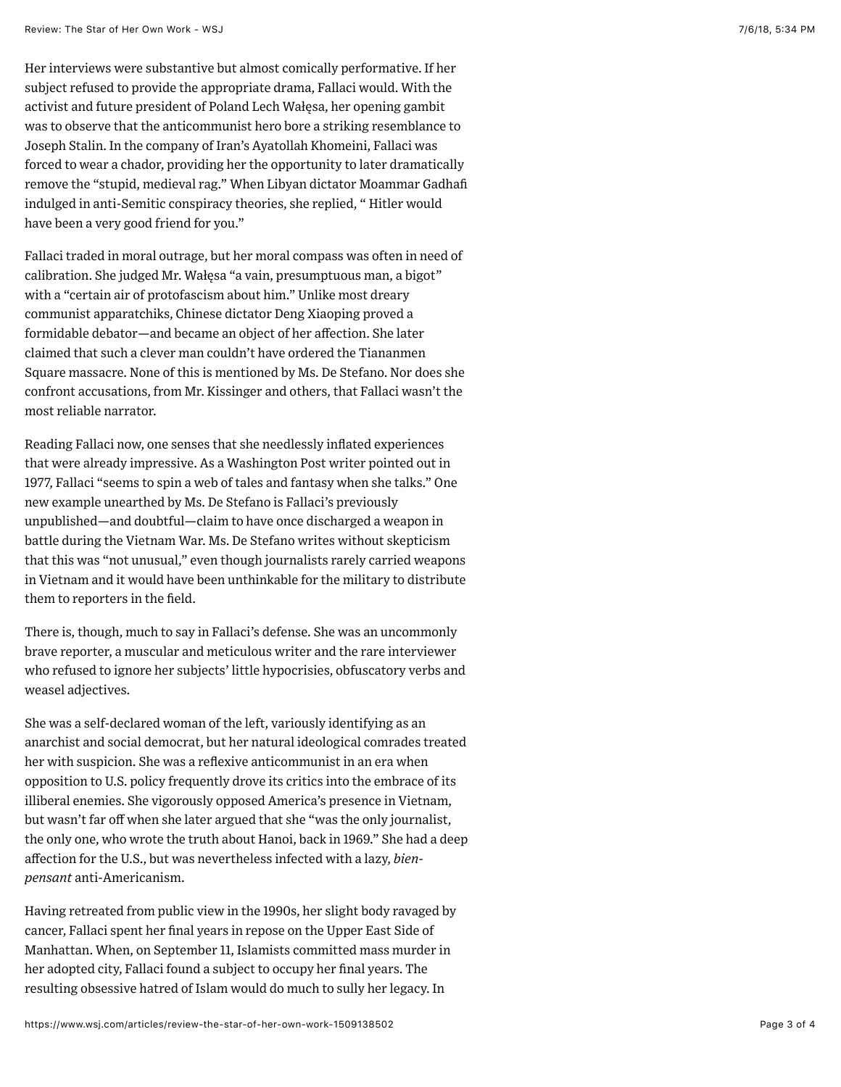| Review: Serling Silver                                                  |  |  |  |
|-------------------------------------------------------------------------|--|--|--|
|                                                                         |  |  |  |
| Spoiler-free entries for all 156 episodes as well as for hundreds of    |  |  |  |
| actors, writers and settings. John J. Miller reviews "The Twilight Zone |  |  |  |
| Encyclopedia" by Steven Jay Rubin.                                      |  |  |  |
| <b>CLICK TO READ STORY</b>                                              |  |  |  |
|                                                                         |  |  |  |
| most reliable narrator.                                                 |  |  |  |
|                                                                         |  |  |  |

Reading Fallaci now, one senses that she needlessly inflated experiences that were already impressive. As a Washington Post writer pointed out in 1977, Fallaci "seems to spin a web of tales and fantasy when she talks." One new example unearthed by Ms. De Stefano is Fallaci's previously unpublished—and doubtful—claim to have once discharged a weapon in battle during the Vietnam War. Ms. De Stefano writes without skepticism that this was "not unusual," even though journalists rarely carried weapons in Vietnam and it would have been unthinkable for the military to distribute them to reporters in the field.

There is, though, much to say in Fallaci's defense. She was an uncommonly brave reporter, a muscular and meticulous writer and the rare interviewer who refused to ignore her subjects' little hypocrisies, obfuscatory verbs and weasel adjectives.

She was a self-declared woman of the left, variously identifying as an anarchist and social democrat, but her natural ideological comrades treated her with suspicion. She was a reflexive anticommunist in an era when opposition to U.S. policy frequently drove its critics into the embrace of its illiberal enemies. She vigorously opposed America's presence in Vietnam, but wasn't far off when she later argued that she "was the only journalist, the only one, who wrote the truth about Hanoi, back in 1969." She had a deep affection for the U.S., but was nevertheless infected with a lazy, *bienpensant* anti-Americanism.

Having retreated from public view in the 1990s, her slight body ravaged by cancer, Fallaci spent her final years in repose on the Upper East Side of Manhattan. When, on September 11, Islamists committed mass murder in her adopted city, Fallaci found a subject to occupy her final years. The resulting obsessive hatred of Islam would do much to sully her legacy. In